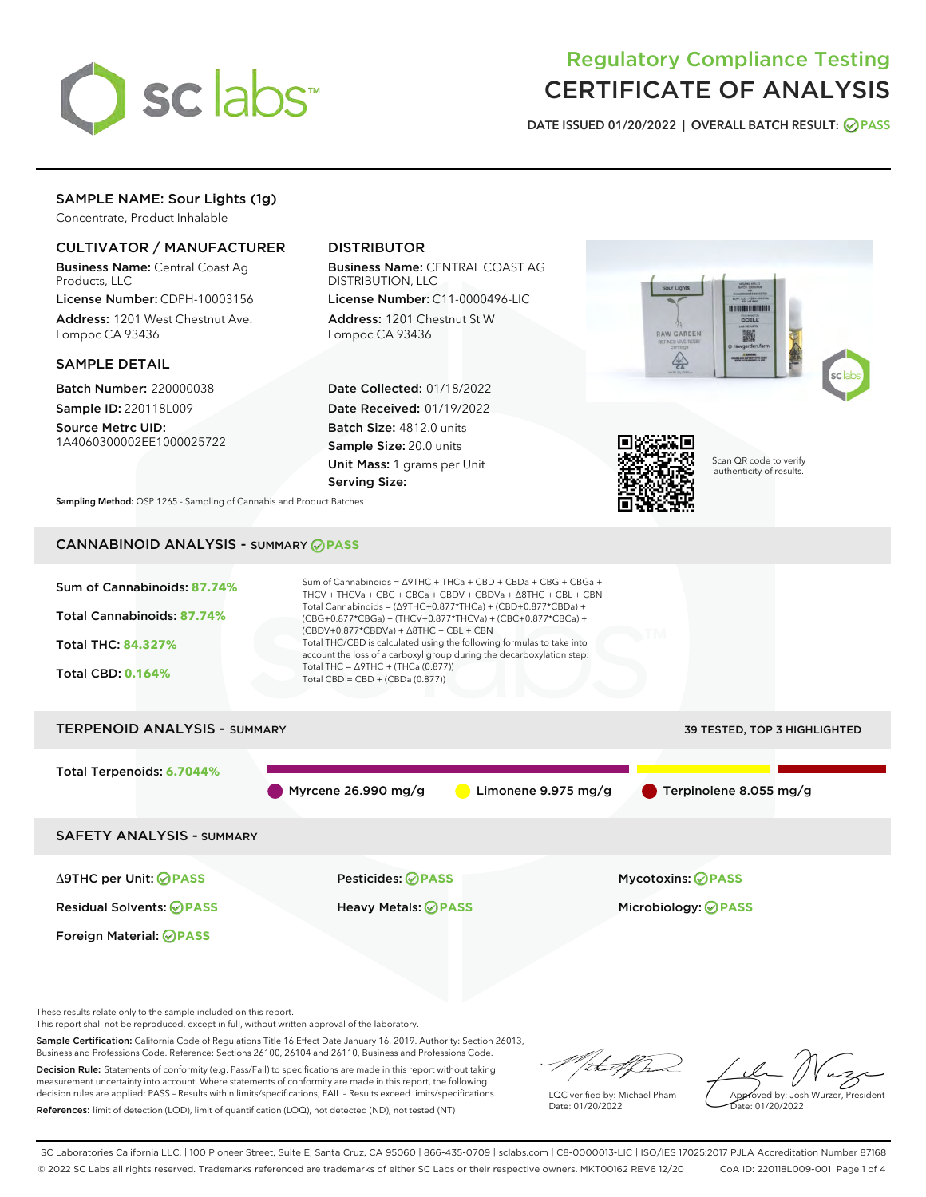

# Regulatory Compliance Testing CERTIFICATE OF ANALYSIS

DATE ISSUED 01/20/2022 | OVERALL BATCH RESULT: @ PASS

# SAMPLE NAME: Sour Lights (1g)

Concentrate, Product Inhalable

# CULTIVATOR / MANUFACTURER

Business Name: Central Coast Ag Products, LLC

License Number: CDPH-10003156 Address: 1201 West Chestnut Ave. Lompoc CA 93436

# SAMPLE DETAIL

Batch Number: 220000038 Sample ID: 220118L009

Source Metrc UID: 1A4060300002EE1000025722

# DISTRIBUTOR

Business Name: CENTRAL COAST AG DISTRIBUTION, LLC

License Number: C11-0000496-LIC Address: 1201 Chestnut St W Lompoc CA 93436

Date Collected: 01/18/2022 Date Received: 01/19/2022 Batch Size: 4812.0 units Sample Size: 20.0 units Unit Mass: 1 grams per Unit Serving Size:





Scan QR code to verify authenticity of results.

Sampling Method: QSP 1265 - Sampling of Cannabis and Product Batches

# CANNABINOID ANALYSIS - SUMMARY **PASS**



These results relate only to the sample included on this report.

This report shall not be reproduced, except in full, without written approval of the laboratory.

Sample Certification: California Code of Regulations Title 16 Effect Date January 16, 2019. Authority: Section 26013, Business and Professions Code. Reference: Sections 26100, 26104 and 26110, Business and Professions Code.

Decision Rule: Statements of conformity (e.g. Pass/Fail) to specifications are made in this report without taking measurement uncertainty into account. Where statements of conformity are made in this report, the following decision rules are applied: PASS – Results within limits/specifications, FAIL – Results exceed limits/specifications. References: limit of detection (LOD), limit of quantification (LOQ), not detected (ND), not tested (NT)

that f ha

LQC verified by: Michael Pham Date: 01/20/2022

Approved by: Josh Wurzer, President ate: 01/20/2022

SC Laboratories California LLC. | 100 Pioneer Street, Suite E, Santa Cruz, CA 95060 | 866-435-0709 | sclabs.com | C8-0000013-LIC | ISO/IES 17025:2017 PJLA Accreditation Number 87168 © 2022 SC Labs all rights reserved. Trademarks referenced are trademarks of either SC Labs or their respective owners. MKT00162 REV6 12/20 CoA ID: 220118L009-001 Page 1 of 4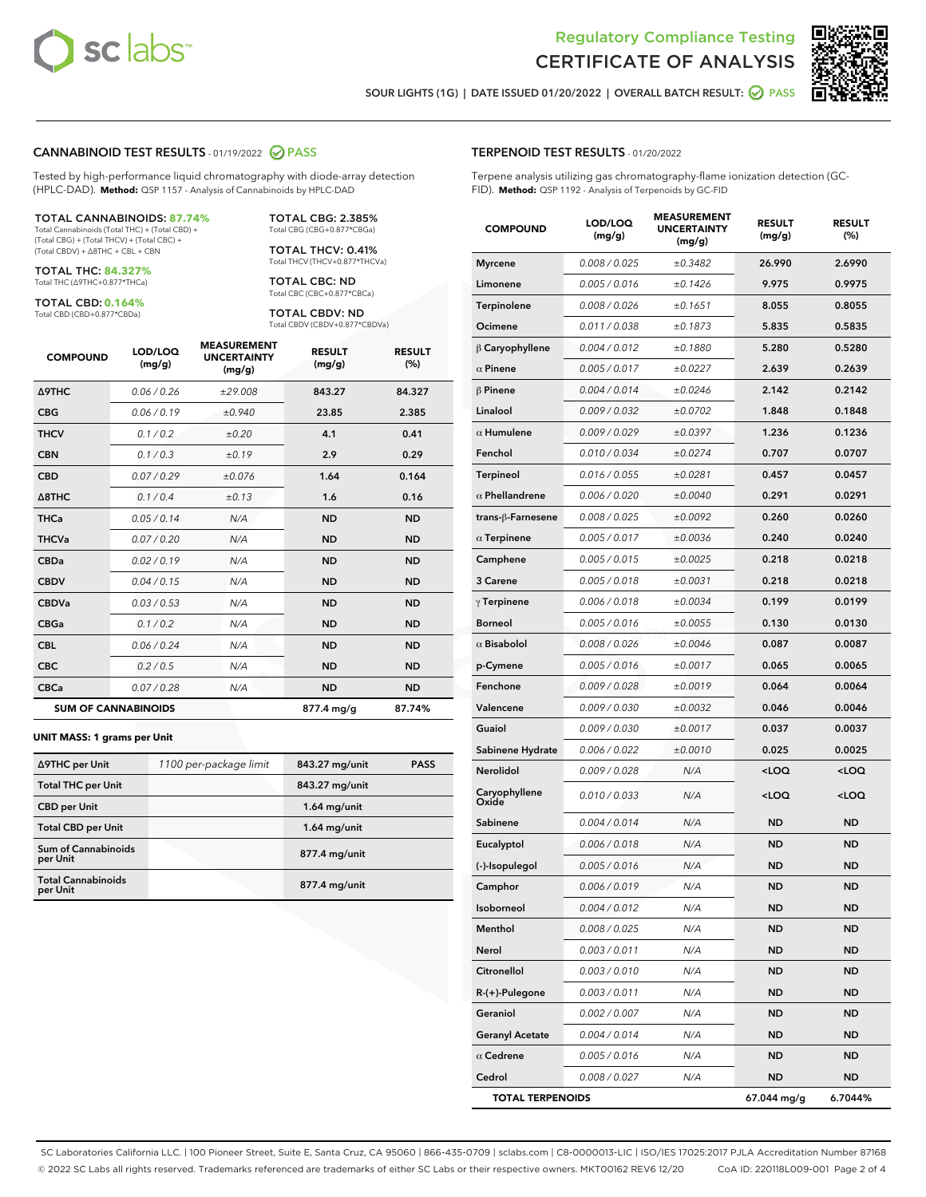

Terpene analysis utilizing gas chromatography-flame ionization detection (GC-



SOUR LIGHTS (1G) | DATE ISSUED 01/20/2022 | OVERALL BATCH RESULT: @ PASS

TERPENOID TEST RESULTS - 01/20/2022

FID). **Method:** QSP 1192 - Analysis of Terpenoids by GC-FID

## CANNABINOID TEST RESULTS - 01/19/2022 2 PASS

Tested by high-performance liquid chromatography with diode-array detection (HPLC-DAD). **Method:** QSP 1157 - Analysis of Cannabinoids by HPLC-DAD

#### TOTAL CANNABINOIDS: **87.74%**

Total Cannabinoids (Total THC) + (Total CBD) + (Total CBG) + (Total THCV) + (Total CBC) + (Total CBDV) + ∆8THC + CBL + CBN

TOTAL THC: **84.327%** Total THC (∆9THC+0.877\*THCa)

TOTAL CBD: **0.164%**

Total CBD (CBD+0.877\*CBDa)

TOTAL CBG: 2.385% Total CBG (CBG+0.877\*CBGa)

TOTAL THCV: 0.41% Total THCV (THCV+0.877\*THCVa)

TOTAL CBC: ND Total CBC (CBC+0.877\*CBCa)

TOTAL CBDV: ND Total CBDV (CBDV+0.877\*CBDVa)

| <b>COMPOUND</b>            | LOD/LOQ<br>(mg/g) | <b>MEASUREMENT</b><br><b>UNCERTAINTY</b><br>(mg/g) | <b>RESULT</b><br>(mg/g) | <b>RESULT</b><br>(%) |
|----------------------------|-------------------|----------------------------------------------------|-------------------------|----------------------|
| <b>A9THC</b>               | 0.06 / 0.26       | ±29.008                                            | 843.27                  | 84.327               |
| <b>CBG</b>                 | 0.06/0.19         | ±0.940                                             | 23.85                   | 2.385                |
| <b>THCV</b>                | 0.1 / 0.2         | ±0.20                                              | 4.1                     | 0.41                 |
| <b>CBN</b>                 | 0.1/0.3           | ±0.19                                              | 2.9                     | 0.29                 |
| <b>CBD</b>                 | 0.07/0.29         | ±0.076                                             | 1.64                    | 0.164                |
| $\triangle$ 8THC           | 0.1/0.4           | ±0.13                                              | 1.6                     | 0.16                 |
| <b>THCa</b>                | 0.05/0.14         | N/A                                                | <b>ND</b>               | <b>ND</b>            |
| <b>THCVa</b>               | 0.07/0.20         | N/A                                                | <b>ND</b>               | <b>ND</b>            |
| <b>CBDa</b>                | 0.02/0.19         | N/A                                                | <b>ND</b>               | <b>ND</b>            |
| <b>CBDV</b>                | 0.04/0.15         | N/A                                                | <b>ND</b>               | <b>ND</b>            |
| <b>CBDVa</b>               | 0.03/0.53         | N/A                                                | <b>ND</b>               | <b>ND</b>            |
| <b>CBGa</b>                | 0.1/0.2           | N/A                                                | <b>ND</b>               | <b>ND</b>            |
| <b>CBL</b>                 | 0.06 / 0.24       | N/A                                                | <b>ND</b>               | <b>ND</b>            |
| <b>CBC</b>                 | 0.2 / 0.5         | N/A                                                | <b>ND</b>               | <b>ND</b>            |
| <b>CBCa</b>                | 0.07 / 0.28       | N/A                                                | <b>ND</b>               | <b>ND</b>            |
| <b>SUM OF CANNABINOIDS</b> |                   |                                                    | 877.4 mg/g              | 87.74%               |

#### **UNIT MASS: 1 grams per Unit**

| ∆9THC per Unit                         | 1100 per-package limit | 843.27 mg/unit | <b>PASS</b> |
|----------------------------------------|------------------------|----------------|-------------|
| <b>Total THC per Unit</b>              |                        | 843.27 mg/unit |             |
| <b>CBD per Unit</b>                    |                        | $1.64$ mg/unit |             |
| <b>Total CBD per Unit</b>              |                        | $1.64$ mg/unit |             |
| <b>Sum of Cannabinoids</b><br>per Unit |                        | 877.4 mg/unit  |             |
| <b>Total Cannabinoids</b><br>per Unit  |                        | 877.4 mg/unit  |             |

| <b>COMPOUND</b>         | LOD/LOQ<br>(mg/g) | <b>MEASUREMENT</b><br><b>UNCERTAINTY</b><br>(mg/g) | <b>RESULT</b><br>(mg/g)                         | <b>RESULT</b><br>$(\%)$ |
|-------------------------|-------------------|----------------------------------------------------|-------------------------------------------------|-------------------------|
| <b>Myrcene</b>          | 0.008 / 0.025     | ±0.3482                                            | 26.990                                          | 2.6990                  |
| Limonene                | 0.005 / 0.016     | ±0.1426                                            | 9.975                                           | 0.9975                  |
| Terpinolene             | 0.008 / 0.026     | ±0.1651                                            | 8.055                                           | 0.8055                  |
| Ocimene                 | 0.011 / 0.038     | ±0.1873                                            | 5.835                                           | 0.5835                  |
| $\beta$ Caryophyllene   | 0.004 / 0.012     | ±0.1880                                            | 5.280                                           | 0.5280                  |
| $\alpha$ Pinene         | 0.005 / 0.017     | ±0.0227                                            | 2.639                                           | 0.2639                  |
| $\beta$ Pinene          | 0.004 / 0.014     | ±0.0246                                            | 2.142                                           | 0.2142                  |
| Linalool                | 0.009 / 0.032     | ±0.0702                                            | 1.848                                           | 0.1848                  |
| $\alpha$ Humulene       | 0.009/0.029       | ±0.0397                                            | 1.236                                           | 0.1236                  |
| Fenchol                 | 0.010 / 0.034     | ±0.0274                                            | 0.707                                           | 0.0707                  |
| Terpineol               | 0.016 / 0.055     | ±0.0281                                            | 0.457                                           | 0.0457                  |
| $\alpha$ Phellandrene   | 0.006 / 0.020     | ±0.0040                                            | 0.291                                           | 0.0291                  |
| trans-ß-Farnesene       | 0.008 / 0.025     | ±0.0092                                            | 0.260                                           | 0.0260                  |
| $\alpha$ Terpinene      | 0.005 / 0.017     | ±0.0036                                            | 0.240                                           | 0.0240                  |
| Camphene                | 0.005 / 0.015     | ±0.0025                                            | 0.218                                           | 0.0218                  |
| 3 Carene                | 0.005 / 0.018     | ±0.0031                                            | 0.218                                           | 0.0218                  |
| $\gamma$ Terpinene      | 0.006 / 0.018     | ±0.0034                                            | 0.199                                           | 0.0199                  |
| <b>Borneol</b>          | 0.005 / 0.016     | ±0.0055                                            | 0.130                                           | 0.0130                  |
| $\alpha$ Bisabolol      | 0.008 / 0.026     | ±0.0046                                            | 0.087                                           | 0.0087                  |
| p-Cymene                | 0.005 / 0.016     | ±0.0017                                            | 0.065                                           | 0.0065                  |
| Fenchone                | 0.009 / 0.028     | ±0.0019                                            | 0.064                                           | 0.0064                  |
| Valencene               | 0.009 / 0.030     | ±0.0032                                            | 0.046                                           | 0.0046                  |
| Guaiol                  | 0.009 / 0.030     | ±0.0017                                            | 0.037                                           | 0.0037                  |
| Sabinene Hydrate        | 0.006 / 0.022     | ±0.0010                                            | 0.025                                           | 0.0025                  |
| Nerolidol               | 0.009 / 0.028     | N/A                                                | <loq< th=""><th><loq< th=""></loq<></th></loq<> | <loq< th=""></loq<>     |
| Caryophyllene<br>Oxide  | 0.010 / 0.033     | N/A                                                | <loq< th=""><th><loq< th=""></loq<></th></loq<> | <loq< th=""></loq<>     |
| Sabinene                | 0.004 / 0.014     | N/A                                                | ND                                              | <b>ND</b>               |
| Eucalyptol              | 0.006 / 0.018     | N/A                                                | <b>ND</b>                                       | <b>ND</b>               |
| (-)-Isopulegol          | 0.005 / 0.016     | N/A                                                | ND                                              | ND                      |
| Camphor                 | 0.006 / 0.019     | N/A                                                | ND                                              | ND                      |
| Isoborneol              | 0.004 / 0.012     | N/A                                                | ND                                              | ND                      |
| Menthol                 | 0.008 / 0.025     | N/A                                                | ND                                              | ND                      |
| Nerol                   | 0.003 / 0.011     | N/A                                                | ND                                              | ND                      |
| Citronellol             | 0.003 / 0.010     | N/A                                                | ND                                              | ND                      |
| $R-(+)$ -Pulegone       | 0.003 / 0.011     | N/A                                                | ND                                              | ND                      |
| Geraniol                | 0.002 / 0.007     | N/A                                                | ND                                              | ND                      |
| <b>Geranyl Acetate</b>  | 0.004 / 0.014     | N/A                                                | ND                                              | ND                      |
| $\alpha$ Cedrene        | 0.005 / 0.016     | N/A                                                | ND                                              | ND                      |
| Cedrol                  | 0.008 / 0.027     | N/A                                                | ND                                              | ND                      |
| <b>TOTAL TERPENOIDS</b> |                   |                                                    | 67.044 mg/g                                     | 6.7044%                 |

SC Laboratories California LLC. | 100 Pioneer Street, Suite E, Santa Cruz, CA 95060 | 866-435-0709 | sclabs.com | C8-0000013-LIC | ISO/IES 17025:2017 PJLA Accreditation Number 87168 © 2022 SC Labs all rights reserved. Trademarks referenced are trademarks of either SC Labs or their respective owners. MKT00162 REV6 12/20 CoA ID: 220118L009-001 Page 2 of 4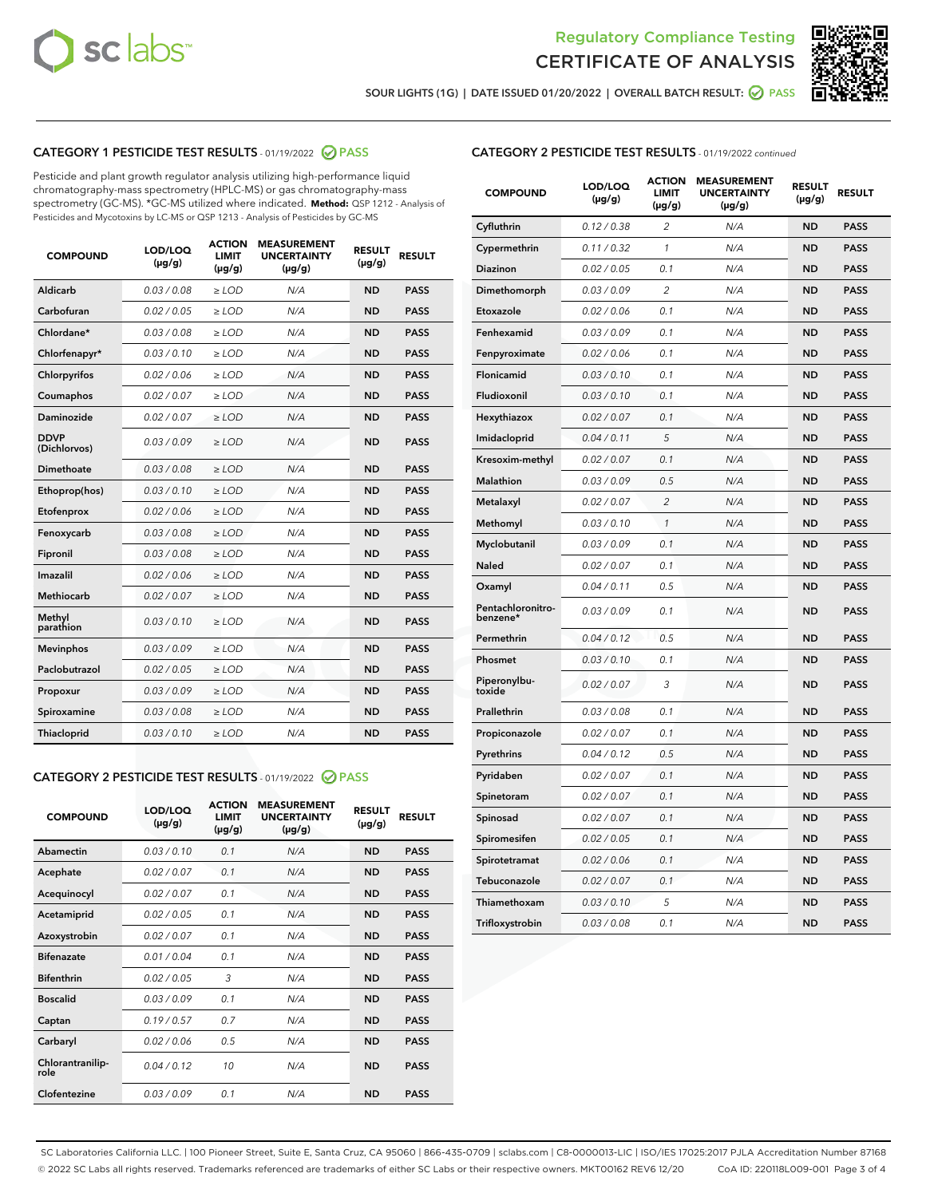



SOUR LIGHTS (1G) | DATE ISSUED 01/20/2022 | OVERALL BATCH RESULT: @ PASS

# CATEGORY 1 PESTICIDE TEST RESULTS - 01/19/2022 2 PASS

Pesticide and plant growth regulator analysis utilizing high-performance liquid chromatography-mass spectrometry (HPLC-MS) or gas chromatography-mass spectrometry (GC-MS). \*GC-MS utilized where indicated. **Method:** QSP 1212 - Analysis of Pesticides and Mycotoxins by LC-MS or QSP 1213 - Analysis of Pesticides by GC-MS

| <b>COMPOUND</b>             | LOD/LOQ<br>$(\mu g/g)$ | <b>ACTION</b><br><b>LIMIT</b><br>$(\mu g/g)$ | <b>MEASUREMENT</b><br><b>UNCERTAINTY</b><br>$(\mu g/g)$ | <b>RESULT</b><br>$(\mu g/g)$ | <b>RESULT</b> |
|-----------------------------|------------------------|----------------------------------------------|---------------------------------------------------------|------------------------------|---------------|
| Aldicarb                    | 0.03 / 0.08            | $\ge$ LOD                                    | N/A                                                     | <b>ND</b>                    | <b>PASS</b>   |
| Carbofuran                  | 0.02 / 0.05            | $\geq$ LOD                                   | N/A                                                     | <b>ND</b>                    | <b>PASS</b>   |
| Chlordane*                  | 0.03 / 0.08            | $\geq$ LOD                                   | N/A                                                     | <b>ND</b>                    | <b>PASS</b>   |
| Chlorfenapyr*               | 0.03/0.10              | $\geq$ LOD                                   | N/A                                                     | <b>ND</b>                    | <b>PASS</b>   |
| Chlorpyrifos                | 0.02 / 0.06            | $\ge$ LOD                                    | N/A                                                     | <b>ND</b>                    | <b>PASS</b>   |
| Coumaphos                   | 0.02 / 0.07            | $\ge$ LOD                                    | N/A                                                     | <b>ND</b>                    | <b>PASS</b>   |
| Daminozide                  | 0.02 / 0.07            | $\ge$ LOD                                    | N/A                                                     | <b>ND</b>                    | <b>PASS</b>   |
| <b>DDVP</b><br>(Dichlorvos) | 0.03/0.09              | $\ge$ LOD                                    | N/A                                                     | <b>ND</b>                    | <b>PASS</b>   |
| Dimethoate                  | 0.03 / 0.08            | $\ge$ LOD                                    | N/A                                                     | <b>ND</b>                    | <b>PASS</b>   |
| Ethoprop(hos)               | 0.03/0.10              | $\ge$ LOD                                    | N/A                                                     | <b>ND</b>                    | <b>PASS</b>   |
| Etofenprox                  | 0.02/0.06              | $>$ LOD                                      | N/A                                                     | <b>ND</b>                    | <b>PASS</b>   |
| Fenoxycarb                  | 0.03 / 0.08            | $>$ LOD                                      | N/A                                                     | <b>ND</b>                    | <b>PASS</b>   |
| Fipronil                    | 0.03 / 0.08            | $>$ LOD                                      | N/A                                                     | <b>ND</b>                    | <b>PASS</b>   |
| Imazalil                    | 0.02 / 0.06            | $\ge$ LOD                                    | N/A                                                     | <b>ND</b>                    | <b>PASS</b>   |
| <b>Methiocarb</b>           | 0.02 / 0.07            | $\ge$ LOD                                    | N/A                                                     | <b>ND</b>                    | <b>PASS</b>   |
| Methyl<br>parathion         | 0.03/0.10              | $\ge$ LOD                                    | N/A                                                     | <b>ND</b>                    | <b>PASS</b>   |
| <b>Mevinphos</b>            | 0.03/0.09              | $\ge$ LOD                                    | N/A                                                     | <b>ND</b>                    | <b>PASS</b>   |
| Paclobutrazol               | 0.02 / 0.05            | $\ge$ LOD                                    | N/A                                                     | <b>ND</b>                    | <b>PASS</b>   |
| Propoxur                    | 0.03/0.09              | $\ge$ LOD                                    | N/A                                                     | <b>ND</b>                    | <b>PASS</b>   |
| Spiroxamine                 | 0.03 / 0.08            | $\ge$ LOD                                    | N/A                                                     | <b>ND</b>                    | <b>PASS</b>   |
| Thiacloprid                 | 0.03/0.10              | $\ge$ LOD                                    | N/A                                                     | <b>ND</b>                    | <b>PASS</b>   |

### CATEGORY 2 PESTICIDE TEST RESULTS - 01/19/2022 2 PASS

| <b>COMPOUND</b>          | LOD/LOO<br>$(\mu g/g)$ | <b>ACTION</b><br>LIMIT<br>$(\mu g/g)$ | <b>MEASUREMENT</b><br><b>UNCERTAINTY</b><br>$(\mu g/g)$ | <b>RESULT</b><br>$(\mu g/g)$ | <b>RESULT</b> |  |
|--------------------------|------------------------|---------------------------------------|---------------------------------------------------------|------------------------------|---------------|--|
| Abamectin                | 0.03/0.10              | 0.1                                   | N/A                                                     | <b>ND</b>                    | <b>PASS</b>   |  |
| Acephate                 | 0.02/0.07              | 0.1                                   | N/A                                                     | <b>ND</b>                    | <b>PASS</b>   |  |
| Acequinocyl              | 0.02/0.07              | 0.1                                   | N/A                                                     | <b>ND</b>                    | <b>PASS</b>   |  |
| Acetamiprid              | 0.02 / 0.05            | 0.1                                   | N/A                                                     | <b>ND</b>                    | <b>PASS</b>   |  |
| Azoxystrobin             | 0.02/0.07              | 0.1                                   | N/A                                                     | <b>ND</b>                    | <b>PASS</b>   |  |
| <b>Bifenazate</b>        | 0.01 / 0.04            | 0.1                                   | N/A                                                     | <b>ND</b>                    | <b>PASS</b>   |  |
| <b>Bifenthrin</b>        | 0.02 / 0.05            | 3                                     | N/A                                                     | <b>ND</b>                    | <b>PASS</b>   |  |
| <b>Boscalid</b>          | 0.03/0.09              | 0.1                                   | N/A                                                     | <b>ND</b>                    | <b>PASS</b>   |  |
| Captan                   | 0.19/0.57              | 0.7                                   | N/A                                                     | <b>ND</b>                    | <b>PASS</b>   |  |
| Carbaryl                 | 0.02/0.06              | 0.5                                   | N/A                                                     | <b>ND</b>                    | <b>PASS</b>   |  |
| Chlorantranilip-<br>role | 0.04/0.12              | 10                                    | N/A                                                     | <b>ND</b>                    | <b>PASS</b>   |  |
| Clofentezine             | 0.03/0.09              | 0.1                                   | N/A                                                     | <b>ND</b>                    | <b>PASS</b>   |  |

# CATEGORY 2 PESTICIDE TEST RESULTS - 01/19/2022 continued

| <b>COMPOUND</b>               | LOD/LOQ<br>(µg/g) | <b>ACTION</b><br><b>LIMIT</b><br>$(\mu g/g)$ | <b>MEASUREMENT</b><br><b>UNCERTAINTY</b><br>$(\mu g/g)$ | <b>RESULT</b><br>(µg/g) | <b>RESULT</b> |
|-------------------------------|-------------------|----------------------------------------------|---------------------------------------------------------|-------------------------|---------------|
| Cyfluthrin                    | 0.12 / 0.38       | $\overline{c}$                               | N/A                                                     | ND                      | <b>PASS</b>   |
| Cypermethrin                  | 0.11 / 0.32       | $\mathcal{I}$                                | N/A                                                     | ND                      | <b>PASS</b>   |
| <b>Diazinon</b>               | 0.02 / 0.05       | 0.1                                          | N/A                                                     | <b>ND</b>               | <b>PASS</b>   |
| Dimethomorph                  | 0.03 / 0.09       | 2                                            | N/A                                                     | ND                      | <b>PASS</b>   |
| Etoxazole                     | 0.02 / 0.06       | 0.1                                          | N/A                                                     | ND                      | <b>PASS</b>   |
| Fenhexamid                    | 0.03 / 0.09       | 0.1                                          | N/A                                                     | ND                      | <b>PASS</b>   |
| Fenpyroximate                 | 0.02 / 0.06       | 0.1                                          | N/A                                                     | <b>ND</b>               | <b>PASS</b>   |
| Flonicamid                    | 0.03 / 0.10       | 0.1                                          | N/A                                                     | ND                      | <b>PASS</b>   |
| Fludioxonil                   | 0.03 / 0.10       | 0.1                                          | N/A                                                     | ND                      | <b>PASS</b>   |
| Hexythiazox                   | 0.02 / 0.07       | 0.1                                          | N/A                                                     | ND                      | <b>PASS</b>   |
| Imidacloprid                  | 0.04 / 0.11       | 5                                            | N/A                                                     | ND                      | <b>PASS</b>   |
| Kresoxim-methyl               | 0.02 / 0.07       | 0.1                                          | N/A                                                     | ND                      | <b>PASS</b>   |
| Malathion                     | 0.03 / 0.09       | 0.5                                          | N/A                                                     | ND                      | <b>PASS</b>   |
| Metalaxyl                     | 0.02 / 0.07       | $\overline{c}$                               | N/A                                                     | ND                      | <b>PASS</b>   |
| Methomyl                      | 0.03 / 0.10       | $\mathbf{1}$                                 | N/A                                                     | ND                      | <b>PASS</b>   |
| Myclobutanil                  | 0.03 / 0.09       | 0.1                                          | N/A                                                     | <b>ND</b>               | <b>PASS</b>   |
| Naled                         | 0.02 / 0.07       | 0.1                                          | N/A                                                     | ND                      | <b>PASS</b>   |
| Oxamyl                        | 0.04 / 0.11       | 0.5                                          | N/A                                                     | ND                      | PASS          |
| Pentachloronitro-<br>benzene* | 0.03 / 0.09       | 0.1                                          | N/A                                                     | ND                      | <b>PASS</b>   |
| Permethrin                    | 0.04 / 0.12       | 0.5                                          | N/A                                                     | ND                      | <b>PASS</b>   |
| Phosmet                       | 0.03 / 0.10       | 0.1                                          | N/A                                                     | ND                      | <b>PASS</b>   |
| Piperonylbu-<br>toxide        | 0.02 / 0.07       | 3                                            | N/A                                                     | <b>ND</b>               | <b>PASS</b>   |
| Prallethrin                   | 0.03 / 0.08       | 0.1                                          | N/A                                                     | ND                      | <b>PASS</b>   |
| Propiconazole                 | 0.02 / 0.07       | 0.1                                          | N/A                                                     | <b>ND</b>               | <b>PASS</b>   |
| Pyrethrins                    | 0.04 / 0.12       | 0.5                                          | N/A                                                     | ND                      | <b>PASS</b>   |
| Pyridaben                     | 0.02 / 0.07       | 0.1                                          | N/A                                                     | <b>ND</b>               | <b>PASS</b>   |
| Spinetoram                    | 0.02 / 0.07       | 0.1                                          | N/A                                                     | ND                      | <b>PASS</b>   |
| Spinosad                      | 0.02 / 0.07       | 0.1                                          | N/A                                                     | ND                      | <b>PASS</b>   |
| Spiromesifen                  | 0.02 / 0.05       | 0.1                                          | N/A                                                     | <b>ND</b>               | <b>PASS</b>   |
| Spirotetramat                 | 0.02 / 0.06       | 0.1                                          | N/A                                                     | ND                      | <b>PASS</b>   |
| Tebuconazole                  | 0.02 / 0.07       | 0.1                                          | N/A                                                     | ND                      | <b>PASS</b>   |
| Thiamethoxam                  | 0.03 / 0.10       | 5                                            | N/A                                                     | <b>ND</b>               | <b>PASS</b>   |
| Trifloxystrobin               | 0.03 / 0.08       | 0.1                                          | N/A                                                     | <b>ND</b>               | <b>PASS</b>   |

SC Laboratories California LLC. | 100 Pioneer Street, Suite E, Santa Cruz, CA 95060 | 866-435-0709 | sclabs.com | C8-0000013-LIC | ISO/IES 17025:2017 PJLA Accreditation Number 87168 © 2022 SC Labs all rights reserved. Trademarks referenced are trademarks of either SC Labs or their respective owners. MKT00162 REV6 12/20 CoA ID: 220118L009-001 Page 3 of 4